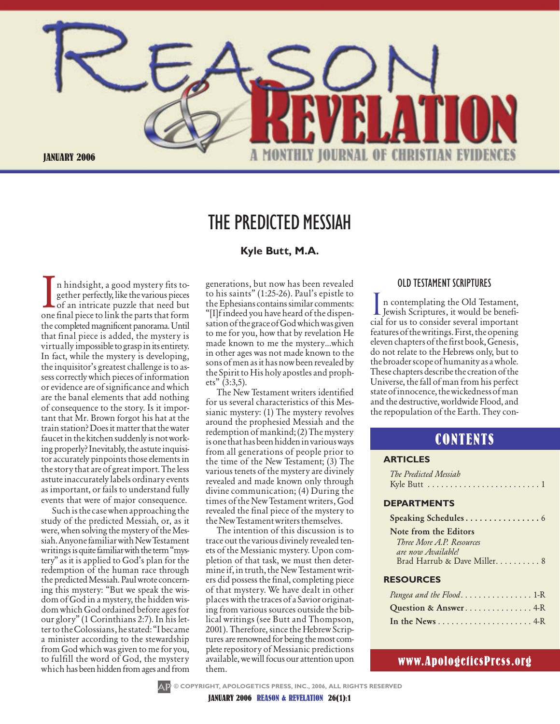

## THE PREDICTED MESSIAH

### **Kyle Butt, M.A.**

In hindsight, a good mystery fits together perfectly, like the various pieces of an intricate puzzle that need but<br>one final piece to link the parts that form n hindsight, a good mystery fits together perfectly, like the various pieces of an intricate puzzle that need but the completed magnificent panorama. Until that final piece is added, the mystery is virtually impossible to grasp in its entirety. In fact, while the mystery is developing, the inquisitor's greatest challenge is to assess correctly which pieces of information or evidence are of significance and which are the banal elements that add nothing of consequence to the story. Is it important that Mr. Brown forgot his hat at the train station? Does it matter that the water faucet in the kitchen suddenly is not working properly? Inevitably, the astute inquisitor accurately pinpoints those elements in the story that are of great import. The less astute inaccurately labels ordinary events as important, or fails to understand fully events that were of major consequence.

Such is the case when approaching the study of the predicted Messiah, or, as it were, when solving the mystery of the Messiah. Anyone familiar with New Testament writings is quite familiar with the term "mystery" as it is applied to God's plan for the redemption of the human race through the predicted Messiah. Paul wrote concerning this mystery: "But we speak the wisdom of God in a mystery, the hidden wisdom which God ordained before ages for our glory" (1 Corinthians 2:7). In his letter to the Colossians, he stated: "I became a minister according to the stewardship from God which was given to me for you, to fulfill the word of God, the mystery which has been hidden from ages and from generations, but now has been revealed to his saints" (1:25-26). Paul's epistle to the Ephesians contains similar comments: "[I]f indeed you have heard of the dispensation of the grace of God which was given to me for you, how that by revelation He made known to me the mystery…which in other ages was not made known to the sons of men as it has now been revealed by the Spirit to His holy apostles and prophets" (3:3,5).

The New Testament writers identified for us several characteristics of this Messianic mystery: (1) The mystery revolves around the prophesied Messiah and the redemption of mankind; (2) The mystery is one that has been hidden in various ways from all generations of people prior to the time of the New Testament; (3) The various tenets of the mystery are divinely revealed and made known only through divine communication; (4) During the times of the New Testament writers, God revealed the final piece of the mystery to the New Testament writers themselves.

The intention of this discussion is to trace out the various divinely revealed tenets of the Messianic mystery. Upon completion of that task, we must then determine if, in truth, the New Testament writers did possess the final, completing piece of that mystery. We have dealt in other places with the traces of a Savior originating from various sources outside the biblical writings (see Butt and Thompson, 2001). Therefore, since the Hebrew Scriptures are renowned for being the most complete repository of Messianic predictions available, we will focus our attention upon them.

### OLD TESTAMENT SCRIPTURES

n contemplating the Old Testament, Jewish Scriptures, it would be beneficial for us to consider several important features of the writings. First, the opening eleven chapters of the first book, Genesis, do not relate to the Hebrews only, but to the broader scope of humanity as a whole. These chapters describe the creation of the Universe, the fall of man from his perfect state of innocence, the wickedness of man and the destructive, worldwide Flood, and the repopulation of the Earth. They con-

## CONTENTS

### **ARTICLES**

| The Predicted Messiah |  |  |
|-----------------------|--|--|
|                       |  |  |

### **DEPARTMENTS**

| Note from the Editors            |
|----------------------------------|
| <i>Three More A.P. Resources</i> |
| are now Available!               |
| Brad Harrub & Dave Miller 8      |
|                                  |

### **RESOURCES**

| Pangea and the Flood1-R |  |
|-------------------------|--|
| Question & Answer 4-R   |  |
|                         |  |

## www.ApologeticsPress.org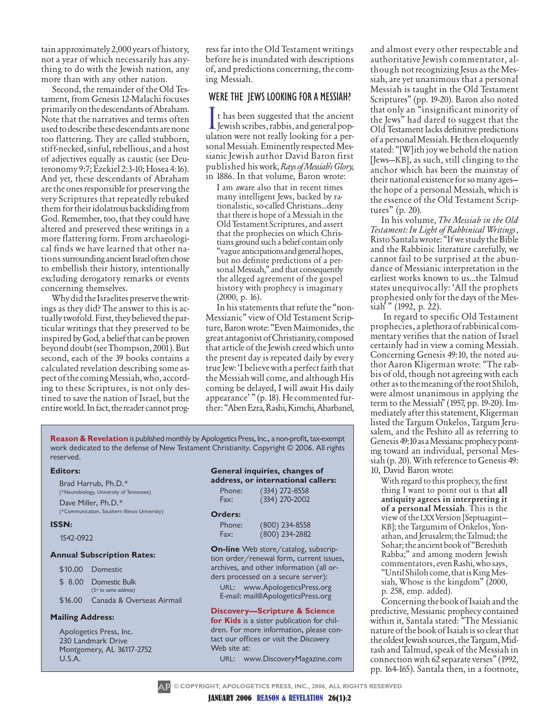tainapproximately2,000yearsofhistory, not a year of which necessarily has anything to do with the Jewish nation, any more than with any other nation.

Second, the remainder of the Old Testament, from Genesis 12-Malachi focuses primarily on the descendants of Abraham. Note that the narratives and terms often used to describe these descendants are none too flattering. They are called stubborn, stiff-necked, sinful, rebellious, and a host of adjectives equally as caustic (see Deuteronomy 9:7; Ezekiel 2:3-10; Hosea 4:16). And yet, these descendants of Abraham are the ones responsible for preserving the very Scriptures that repeatedly rebuked them for their idolatrous backsliding from God. Remember, too, that they could have altered and preserved these writings in a more flattering form. From archaeological finds we have learned that other nations surrounding ancient Israel often chose to embellish their history, intentionally excluding derogatory remarks or events concerning themselves.

Why did the Israelites preserve the writings as they did? The answer to this is actually twofold. First, they believed the particular writings that they preserved to be inspired by God, a belief that can be proven beyond doubt (see Thompson, 2001). But second, each of the 39 books contains a calculated revelation describing some aspectofthecomingMessiah,who,according to these Scriptures, is not only destined to save the nation of Israel, but the entire world. In fact, the reader cannot progress far into the Old Testament writings before he is inundated with descriptions of, and predictions concerning, the coming Messiah.

### WERE THE JEWS LOOKING FOR A MESSIAH?

t has been suggested that the ancient Jewish scribes, rabbis, and general population were not really looking for a personal Messiah. Eminently respected Messianic Jewish author David Baron first published hiswork,*Rays ofMessiah's Glory*, in 1886. In that volume, Baron wrote:

I am aware also that in recent times many intelligent Jews, backed by rationalistic, so-called Christians...deny that there is hope of a Messiah in the Old Testament Scriptures, and assert that the prophecies on which Chris-<br>tians ground such a belief contain only "vague anticipations and general hopes,<br>but no definite predictions of a personal Messiah," and that consequently the alleged agreement of the gospel history with prophecy is imaginary (2000, p. 16).

In his statements that refute the "non-Messianic" view of Old Testament Scripture, Baron wrote: "Even Maimonides, the greatantagonistofChristianity,composed that article of the Jewish creed which unto the present day is repeated daily by every true Jew: 'I believe with a perfect faith that the Messiah will come, and although His coming be delayed, I will await His daily appearance' " (p. 18). He commented further: "Aben Ezra, Rashi, Kimchi, Abarbanel,

**Reason & Revelation** is published monthly by Apologetics Press, Inc., a non-profit, tax-exempt work dedicated to the defense of New Testament Christianity. Copyright © 2006. All rights reserved.

#### **Editors:**

Brad Harrub, Ph.D.\* (\*Neurobiology, University of Tennessee) Dave Miller, Ph.D.\*

(\*Communication, Southern Illinois University)

### **ISSN:**

1542-0922

#### **Annual Subscription Rates:**

| \$10.00 Domestic                  |
|-----------------------------------|
| \$ 8.00 Domestic Bulk             |
| $(5+$ to same address)            |
| \$16.00 Canada & Overseas Airmail |

#### **Mailing Address:**

Apologetics Press, Inc. 230 Landmark Drive Montgomery, AL 36117-2752 U.S.A.

| General Inguiries, Changes Of<br>address, or international callers: |                                                                                       |  |  |  |  |
|---------------------------------------------------------------------|---------------------------------------------------------------------------------------|--|--|--|--|
| Phone:                                                              | $(334)$ 272-8558                                                                      |  |  |  |  |
| Fax:                                                                | (334) 270-2002                                                                        |  |  |  |  |
| <b>Orders:</b>                                                      |                                                                                       |  |  |  |  |
| Phone:                                                              | $(800)$ 234-8558                                                                      |  |  |  |  |
| Fax:                                                                | $(800)$ 234-2882                                                                      |  |  |  |  |
|                                                                     | <b>On-line</b> Web store/catalog, subscrip-<br>tion order (repowed form current iccur |  |  |  |  |

**General inquiries, changes of**

tion order/renewal form, current issues, archives, and other information (all orders processed on a secure server):

URL: www.ApologeticsPress.org E-mail: mail@ApologeticsPress.org

### **Discovery—Scripture & Science**

**for Kids** is a sister publication for children. For more information, please contact our offices or visit the *Discovery* Web site at:

URL: www.DiscoveryMagazine.com

and almost every other respectable and authoritative Jewish commentator, although notrecognizingJesusastheMessiah, are yet unanimous that a personal Messiah is taught in the Old Testament Scriptures" (pp. 19-20). Baron also noted that only an "insignificant minority of the Jews" had dared to suggest that the Old Testament lacks definitive predictions of a personal Messiah. He then eloquently stated:"[W]ith joy we behold the nation [Jews—KB], as such, still clinging to the anchor which has been the mainstay of their national existence for so many ages the hope of a personal Messiah, which is the essence of the Old Testament Scriptures" (p. 20).

In his volume, *The Messiah in the Old Testament: In Light of Rabbinical Writings*, RistoSantalawrote:"IfwestudytheBible and the Rabbinic literature carefully, we cannot fail to be surprised at the abun- dance of Messianic interpretation in the earliest works known to us...the Talmud states unequivocally: 'All the prophets prophesied only for the days of the Messiah<sup>3</sup> " (1992, p. 22).

In regard to specific Old Testament prophecies, a plethora of rabbinical commentary verifies that the nation of Israel certainly had in view a coming Messiah. Concerning Genesis 49:10, the noted author Aaron Kligerman wrote: "The rabbis of old, though not agreeing with each otherastothemeaningoftherootShiloh, were almost unanimous in applying the term to the Messiah" (1957, pp. 19-20). Immediately after this statement, Kligerman listed the Targum Onkelos, Targum Jerusalem, and the Peshito all as referring to Genesis 49:10 as a Messianic prophecy pointing toward an individual, personal Messiah (p. 20). With reference to Genesis 49: 10, David Baron wrote:

With regard to this prophecy, the first thing I want to point out is that all antiquity agrees in interpreting it of a personal Messiah. This is the view of the LXX Version [Septuagint— KB]; the Targumim of Onkelos, Yonathan, and Jerusalem; the Talmud; the Sohar; the ancient book of "Bereshith Rabba;" and among modern Jewish commentators,evenRashi,whosays, "Until Shiloh come, that is King Messiah, Whose is the kingdom" (2000, p. 258, emp. added).

Concerning the book of Isaiah and the predictive, Messianic prophecy contained within it, Santala stated: "The Messianic nature of the book of Isaiah is so clear that the oldest Jewish sources, the Targum, Midrashand Talmud, speak of the Messiah in connection with 62 separate verses" (1992, pp. 164-165). Santala then, in a footnote,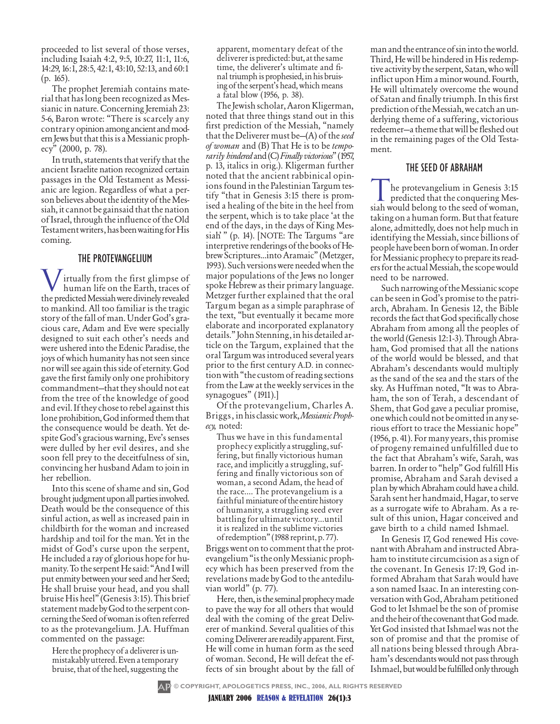proceeded to list several of those verses, including Isaiah 4:2, 9:5, 10:27, 11:1, 11:6, 14:29, 16:1, 28:5, 42:1, 43:10, 52:13, and 60:1 (p. 165).

The prophet Jeremiah contains material that has long been recognized as Messianic in nature. Concerning Jeremiah 23: 5-6, Baron wrote: "There is scarcely any contrary opinion among ancient and modern Jews but that this is a Messianic prophecy" (2000, p. 78).

In truth, statements that verify that the ancient Israelite nation recognized certain passages in the Old Testament as Messianic are legion. Regardless of what a person believes about the identity of the Messiah, it cannot be gainsaid that the nation of Israel, through the influence of the Old Testament writers, has been waiting for His coming.

### THE PROTEVANGELIUM

irtually from the first glimpse of human life on the Earth, traces of the predicted Messiah were divinely revealed to mankind. All too familiar is the tragic story of the fall of man. Under God's gracious care, Adam and Eve were specially designed to suit each other's needs and were ushered into the Edenic Paradise, the joys of which humanity has not seen since nor will see again this side of eternity. God gave the first family only one prohibitory commandment-that they should not eat from the tree of the knowledge of good and evil. If they chose to rebel against this lone prohibition, God informed them that the consequence would be death. Yet despite God's gracious warning, Eve's senses were dulled by her evil desires, and she soon fell prey to the deceitfulness of sin, convincing her husband Adam to join in her rebellion.

Into this scene of shame and sin, God brought judgment upon all parties involved. Death would be the consequence of this sinful action, as well as increased pain in childbirth for the woman and increased hardship and toil for the man. Yet in the midst of God's curse upon the serpent, He included a ray of glorious hope for humanity. To the serpent He said: "And I will put enmity between your seed and her Seed; He shall bruise your head, and you shall bruise His heel" (Genesis 3:15). This brief statement made by God to the serpent concerning the Seed of woman is often referred to as the protevangelium. J.A. Huffman commented on the passage:

Here the prophecy of a deliverer is unmistakably uttered. Even a temporary bruise, that of the heel, suggesting the

apparent, momentary defeat of the deliverer is predicted: but, at the same<br>time, the deliverer's ultimate and final triumph is prophesied, in his bruis-<br>ing of the serpent's head, which means a fatal blow (1956, p. 38).

The Jewish scholar, Aaron Kligerman, noted that three things stand out in this first prediction of the Messiah, "namely that the Deliverer must be—(A) of the*seed of woman* and (B) That He is to be *temporarily hindered*and(C)*Finallyvictorious*"(1957, p. 13, italics in orig.). Kligerman further noted that the ancient rabbinical opinions found in the Palestinian Targum testify "that in Genesis 3:15 there is promised a healing of the bite in the heel from the serpent, which is to take place 'at the end of the days, in the days of King Messiah'" (p. 14). [NOTE: The Targums "are interpretive renderings of the books of Hebrew Scriptures...into Aramaic" (Metzger, 1993). Such versions were needed when the major populations of the Jews no longer spoke Hebrew as their primary language. Metzger further explained that the oral Targum began as a simple paraphrase of the text, "but eventually it became more elaborate and incorporated explanatory details." John Stenning, in his detailed article on the Targum, explained that the oral Targum wasintroduced several years prior to the first century A.D. in connectionwith"thecustomofreadingsections from the Law at the weekly services in the synagogues" (1911).]

Of the protevangelium, Charles A. Briggs, inhisclassicwork,*Messianic Prophecy*, noted:

Thus we have in this fundamental prophecy explicitly a struggling, suffering, but finally victorious human race, and implicitly a struggling, suffering and finally victorious son of woman, a second Adam, the head of the race.... The protevangelium is a faithful miniature of the entire history of humanity, a struggling seed ever battling for ultimate victory...until it is realized in the sublime victories ofredemption"(1988reprint,p.77).

Briggs went on to comment that the protevangelium "is the only Messianic prophecy which has been preserved from the revelations made by God to the antediluvian world" (p. 77).

Here, then, is the seminal prophecy made to pave the way for all others that would deal with the coming of the great Deliverer of mankind. Several qualities of this coming Deliverer are readily apparent. First, He will come in human form as the seed of woman. Second, He will defeat the effects of sin brought about by the fall of

man and the entrance of sin into the world. Third, He will be hindered in His redemptive activity by the serpent, Satan, who will inflict upon Him a minor wound. Fourth, He will ultimately overcome the wound of Satan and finally triumph. In this first prediction of the Messiah, we catch an underlying theme of a suffering, victorious redeemer-a theme that will be fleshed out in the remaining pages of the Old Testament.

### THE SEED OF ABRAHAM

he protevangelium in Genesis 3:15 predicted that the conquering Messiah would belong to the seed of woman, taking on a human form. But that feature alone, admittedly, does not help much in identifying the Messiah, since billions of peoplehavebeenbornofwoman.Inorder for Messianic prophecy to prepare its readers for the actual Messiah, the scope would need to be narrowed.

SuchnarrowingoftheMessianicscope can be seen in God's promise to the patriarch, Abraham. In Genesis 12, the Bible records the fact that God specifically chose Abraham from among all the peoples of the world (Genesis 12:1-3). Through Abraham, God promised that all the nations of the world would be blessed, and that Abraham's descendants would multiply as the sand of the sea and the stars of the sky. As Huffman noted, "It was to Abraham, the son of Terah, a descendant of Shem, that God gave a peculiar promise, one which could not be omitted in any serious effort to trace the Messianic hope" (1956, p. 41). For many years, this promise of progeny remained unfulfilled due to the fact that Abraham's wife, Sarah, was barren. In order to "help" God fulfill His promise, Abraham and Sarah devised a plan by which Abraham could have a child. Sarah sent her handmaid, Hagar, to serve as a surrogate wife to Abraham. As a result of this union, Hagar conceived and gave birth to a child named Ishmael.

In Genesis 17, God renewed His covenant with Abraham and instructed Abraham to institute circumcision as a sign of the covenant. In Genesis 17:19, God informed Abraham that Sarah would have a son named Isaac. In an interesting conversation with God, Abraham petitioned God to let Ishmael be the son of promise and the heir of the covenant that God made. Yet God insisted that Ishmael was not the son of promise and that the promise of all nations being blessed through Abraham's descendants would not pass through Ishmael, but would be fulfilled only through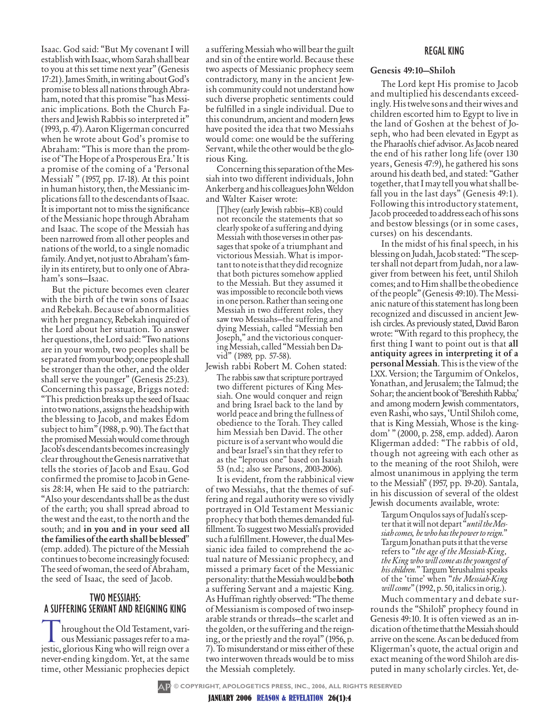Isaac. God said: "But My covenant I will establish with Isaac, whom Sarah shall bear to you at this set time next year" (Genesis 17:21). James Smith, in writing about God's promise to bless all nations through Abraham, noted that this promise "has Messianic implications. Both the Church Fathers and Jewish Rabbis so interpreted it" (1993, p. 47). Aaron Kligerman concurred when he wrote about God's promise to Abraham: "This is more than the promise of 'The Hope of a Prosperous Era.' It is a promise of the coming of a 'Personal Messiah' " (1957, pp. 17-18). At this point in human history, then, the Messianic implications fall to the descendants of Isaac. It is important not to miss the significance of the Messianic hope through Abraham and Isaac. The scope of the Messiah has been narrowed fromall other peoples and nations of the world, to a single nomadic family. And yet, not just to Abraham's family in its entirety, but to only one of Abraham's sons—Isaac.

But the picture becomes even clearer with the birth of the twin sons of Isaac and Rebekah. Because of abnormalities with her pregnancy, Rebekah inquired of the Lord about her situation. To answer her questions, the Lord said: "Two nations are in your womb, two peoples shall be separated from your body; one people shall be stronger than the other, and the older shall serve the younger" (Genesis 25:23). Concerning this passage, Briggs noted: "This prediction breaks up the seed of Isaac into two nations, assigns the headship with the blessing to Jacob, and makes Edom subject to him" (1988, p. 90). The fact that the promised Messiah would come through Jacob's descendants becomes increasingly clear throughout the Genesis narrative that tells the stories of Jacob and Esau. God confirmed the promise to Jacob in Genesis 28:14, when He said to the patriarch: "Also your descendants shall be as the dust of the earth; you shall spread abroad to the west and the east, to the north and the south; and in you and in your seed all the families of the earth shall be blessed" (emp. added). The picture of the Messiah continues to become increasingly focused: The seed of woman, the seed of Abraham, the seed of Isaac, the seed of Jacob.

## TWO MESSIAHS: A SUFFERING SERVANT AND REIGNING KING

hroughout the Old Testament, various Messianic passages refer to a majestic, glorious King who will reign over a never-ending kingdom. Yet, at the same time, other Messianic prophecies depict a suffering Messiah who will bear the guilt and sin of the entire world. Because these two aspects of Messianic prophecy seem contradictory, many in the ancient Jewish community could not understand how such diverse prophetic sentiments could be fulfilled in a single individual. Due to this conundrum, ancient and modern Jews have posited the idea that two Messiahs would come: one would be the suffering Servant, while the other would be the glorious King.

Concerning this separation of the Messiah into two different individuals, John AnkerbergandhiscolleaguesJohnWeldon and Walter Kaiser wrote:

[T]hey (early Jewish rabbis—KB) could not reconcile the statements that so clearlyspokeofasufferinganddying Messiah with those verses in other pas-<br>sages that spoke of a triumphant and<br>victorious Messiah. What is important to note is that they did recognize that both pictures somehow applied to the Messiah. But they assumed it was impossible to reconcile both views in one person. Rather than seeing one Messiah in two different roles, they saw two Messiahs—the suffering and dying Messiah, called "Messiah ben Joseph," and the victorious conquering Messiah, called "Messiah ben David" (1989, pp. 57-58).

Jewish rabbi Robert M. Cohen stated: The rabbis saw that scripture portrayed two different pictures of King Messiah. One would conquer and reign and bring Israel back to the land by world peace and bring the fullness of obedience to the Torah. They called him Messiah ben David. The other picture is of a servant who would die and bear Israel's sin that they refer to as the "leprous one" based on Isaiah 53 (n.d.; also see Parsons, 2003-2006).

It is evident, from the rabbinical view of two Messiahs, that the themes of suffering and regal authority were so vividly portrayed in Old Testament Messianic prophecy that both themes demanded fulfillment. To suggest two Messiah's provided such a fulfillment. However, the dual Messianic idea failed to comprehend the actual nature of Messianic prophecy, and missed a primary facet of the Messianic personality: that the Messiah would be **both** a suffering Servant and a majestic King. As Huffman rightly observed: "The theme of Messianism is composed of two inseparable strands or threads—the scarlet and the golden, or the suffering and the reigning, or the priestly and the royal" (1956, p. 7). To misunderstand or miss either of these two interwoven threads would be to miss the Messiah completely.

### REGAL KING

### Genesis 49:10—Shiloh

The Lord kept His promise to Jacob and multiplied his descendants exceedingly. His twelve sons and their wives and children escorted him to Egypt to live in the land of Goshen at the behest of Joseph, who had been elevated in Egypt as the Pharaoh's chief advisor. As Jacob neared the end of his rather long life (over 130 years, Genesis 47:9), he gathered his sons around his death bed, and stated: "Gather together, that I may tell you what shall befall you in the last days" (Genesis 49:1). Following this introductory statement, Jacob proceeded to address each of his sons and bestow blessings (or in some cases, curses) on his descendants.

In the midst of his final speech, in his blessingonJudah,Jacobstated:"Thescepter shall not depart from Judah, nor a lawgiver from between his feet, until Shiloh comes; and to Him shall be the obedience of the people" (Genesis 49:10). The Messianic nature of this statement has long been recognized and discussed in ancient Jewish circles. As previously stated, David Baron wrote: "With regard to this prophecy, the first thing I want to point out is that all antiquity agrees in interpreting it of a personal Messiah. This is the view of the LXX. Version; the Targumim of Onkelos, Yonathan, and Jerusalem; the Talmud; the Sohar; the ancient book of 'Bereshith Rabba;' and among modern Jewish commentators, even Rashi, who says, 'Until Shiloh come, that is King Messiah, Whose is the kingdom' " (2000, p. 258, emp. added). Aaron Kligerman added: "The rabbis of old, though not agreeing with each other as to the meaning of the root Shiloh, were almost unanimous in applying the term to the Messiah" (1957, pp. 19-20). Santala, in his discussion of several of the oldest Jewish documents available, wrote:

Targum Onqulos says of Judah's scepter that it will not depart "*until the Mes* $s$ *iah* comes, he who has the power to reign." Targum Jonathan puts it that the verse refers to "*the age of the Messiah-King , the King who willcome as the youngest of his children.*"TargumYerushalmispeaks of the 'time' when "*the Messiah-King will come*" (1992, p. 50, italics in orig.).

Much commentary and debate surrounds the "Shiloh" prophecy found in Genesis 49:10. It is often viewed as an indication of the time that the Messiah should arrive on the scene. As can be deduced from Kligerman's quote, the actual origin and exact meaning of the word Shiloh are disputed in many scholarly circles. Yet, de-

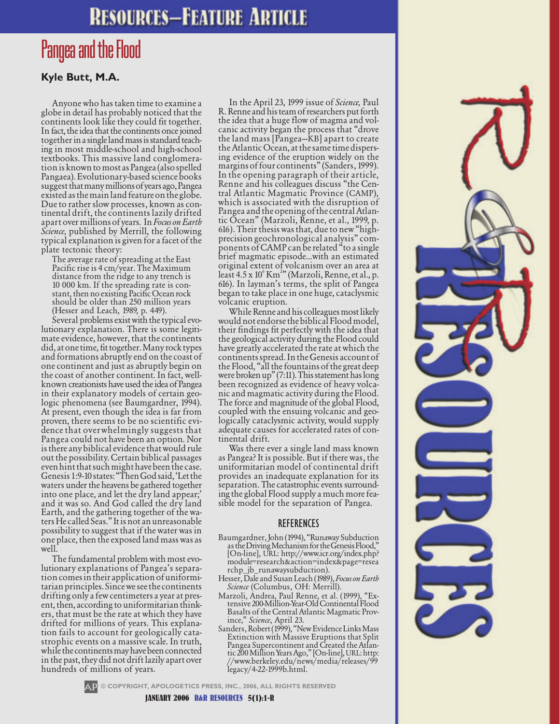## **RESOURCES-FEATURE ARTICLE**

## Pangea and the Flood

## **Kyle Butt, M.A.**

Anyone who has taken time to examine a globe in detail has probably noticed that the continents look like they could fit together. In fact, the idea that the continents once joined together in a single land mass is standard teach-<br>ing in most middle-school and high-school<br>textbooks. This massive land conglomeration is known to most as Pangea (also spelled Pangaea). Evolutionary-based science books suggest that many millions of years ago, Pangea existed as themainland feature on the globe. Due to rather slow processes, known as con- tinental drift, the continents lazily drifted apart overmillions of years. In*Focus on Earth Science,* published by Merrill, the following typical explanation is given for a facet of the plate tectonic theory:

The average rate of spreading at the East Pacific rise is 4 cm/year. The Maximum distance from the ridge to any trench is 10 000 km. If the spreading rate is con- stant, then no existing Pacific Ocean rock should be older than 250 million years (Hesser and Leach, 1989, p. 449).

Several problems exist with the typical evolutionary explanation. There is some legitimate evidence, however, that the continents did, atone time, fit together.Many rock types and formations abruptly end on the coast of one continent and just as abruptly begin on the coast of another continent. In fact, wellknown creationists have used the idea of Pangea in their explanatory models of certain geologic phenomena (see Baumgardner, 1994). At present, even though the idea is far from<br>proven, there seems to be no scientific evidence that overwhelmingly suggests that Pangea could not have been an option. Nor is there any biblical evidence that would rule out the possibility. Certain biblical passages even hint that such might have been the case. Genesis 1:9-10 states: "ThenGod said,'Let the waters under the heavens be gathered together into one place, and let the dry land appear;' and it was so. And God called the dry land<br>Earth, and the gathering together of the waters He called Seas." It is not an unreasonable possibility to suggest that if the water was in one place, then the exposed land mass was as well.

The fundamental problem with most evo-<br>lutionary explanations of Pangea's separa-<br>tion comes in their application of uniformi-<br>tarian principles. Since we see the continents<br>drifting only a few centimeters a year at present, then, according to uniformitarian think-<br>ers, that must be the rate at which they have<br>drifted for millions of years. This explanation fails to account for geologically cata-<br>strophic events on a massive scale. In truth, while the continents may have been connected in the past, they did not drift lazily apart over hundreds of millions of years.

In the April 23, 1999 issue of *Science,* Paul R. Renne and his team of researchers put forth the idea that a huge flow of magma and vol- canic activity began the process that "drove the land mass [Pangea–KB] apart to create<br>the Atlantic Ocean, at the same time dispersing evidence of the eruption widely on the margins of four continents"(Sanders, 1999). In the opening paragraph of their article, tral Atlantic Magmatic Province (CAMP), which is associated with the disruption of Pangea and the opening of the central Atlan-<br>tic Ocean" (Marzoli, Renne, et al., 1999, p. 616). Their thesis was that, due to new "highprecision geochronological analysis" com- ponents ofCAMP can be related "to a single brief magmatic episode…with an estimated original extent of volcanism over an area at least 4.5 x 10<sup>6</sup> Km<sup>2</sup>" (Marzoli, Renne, et al., p. 616). In layman's terms, the split of Pangea began to take place in one huge, cataclysmic volcanic eruption.

While Renne and his colleagues most likely would not endorse the biblical Floodmodel, their findings fit perfectly with the idea that the geological activity during the Flood could have greatly accelerated the rate at which the continents spread. In the Genesis account of the Flood, "all the fountains of the great deep were broken up" (7:11). This statement has long been recognized as evidence of heavy volcanic and magmatic activity during the Flood. The force and magnitude of the global Flood, coupled with the ensuing volcanic and geologically cataclysmic activity, would supply adequate causes for accelerated rates of con- tinental drift.

Was there ever a single land mass known as Pangea? It is possible. But if there was, the uniformitarian model of continental drift provides an inadequate explanation for its separation. The catastrophic events surround-<br>ing the global Flood supply a much more fea-<br>sible model for the separation of Pangea.

### **REFERENCES**

- Baumgardner, John(1994), "Runaway Subduction as theDrivingMechanism for theGenesisFlood," [On-line], URL: http://www.icr.org/index.php? module=research&action=index&page=resea rchp\_jb\_runawaysubduction). Hesser, Dale and Susan Leach(1989), *Focus on Earth*
- *Science* (Columbus, OH: Merrill).
- Marzoli, Andrea, Paul Renne, et al. (1999), "Ex- tensive 200-Million-Year-OldContinental Flood Basalts ofthe Central AtlanticMagmatic Prov- ince," *Science*, April 23.
- Sanders, Robert(1999), "NewEvidence LinksMass Extinction with Massive Eruptions that Split tic 200 Million Years Ago," [On-line], URL: http:<br>//www.berkeley.edu/news/media/releases/99<br>legacy/4-22-1999b.html.

JANUARY 2006 R&R RESOURCES 5(1):1-R **© COPYRIGHT, APOLOGETICS PRESS, INC., 2006, ALL RIGHTS RESERVED**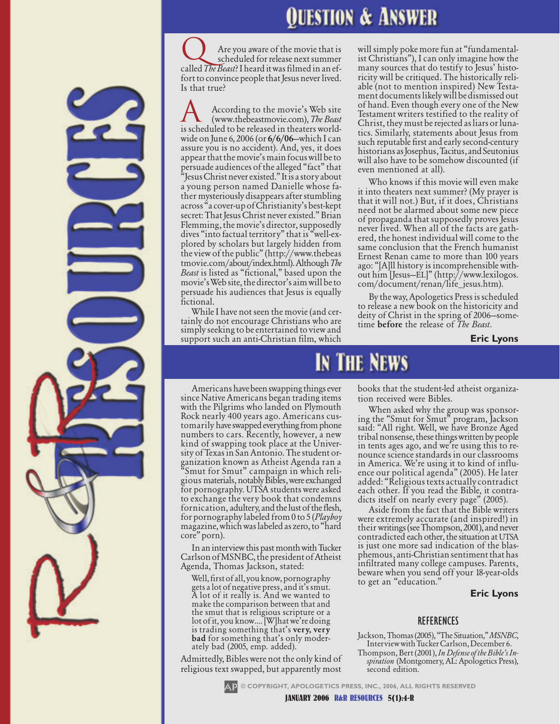## QUESTION & ANSWER

Are you aware of the movie that is scheduled for release next summer called *The Beast*? I heard it was filmed in an ef-<br>fort to convince people that Jesus never lived. Is that true?

According to the movie's Web site (www.thebeastmovie.com), *The Beast* is scheduled to be released in theaters worldwide on June 6, 2006 (or 6/6/06—which I can assure you is no accident). And, yes, it does appear that themovie'smain focus will be to persuade audiences of the alleged "fact" that "JesusChrist never existed." Itis a story about a young person named Danielle whose fa- ther mysteriously disappears after stumbling across "a cover-up ofChristianity's best-kept secret: That Jesus Christ never existed." Brian Flemming, the movie's director, supposedly<br>dives "into factual territory" that is "well-explored by scholars but largely hidden from the view of the public" (http://www.thebeas tmovie.com/about/index.html).Although*The Beast* is listed as "fictional," based upon the movie'sWeb site, the director's aim will be to persuade his audiences that Jesus is equally fictional.

While I have not seen the movie (and cer- tainly do not encourage Christians who are simply seeking to be entertained to view and support such an anti-Christian film, which

will simply poke more fun at "fundamental- ist Christians"), I can only imagine how the many sources that do testify to Jesus' histo-<br>ricity will be critiqued. The historically reli-<br>able (not to mention inspired) New Testa-<br>ment documents likely will be dismissed out of hand. Even though every one of the New Testament writers testified to the reality of tics. Similarly, statements about Jesus from such reputable first and early second-century historians as Josephus, Tacitus, and Seutonius will also have to be somehow discounted (if even mentioned at all).

Who knows if this movie will even make it into theaters next summer? (My prayer is that it will not.) But, if it does, Christians need not be alarmed about some new piece of propaganda that supposedly proves Jesus never lived. When all of the facts are gath- ered, the honest individual will come to the same conclusion that the French humanist Ernest Renan came to more than 100 years ago: "[A]ll history is incomprehensible with- out him [Jesus—EL]" (http://www.lexilogos. com/document/renan/life\_jesus.htm).

By the way, Apologetics Press is scheduled to release a new book on the historicity and deity of Christ in the spring of 2006—sometime before the release of *The Beast*.

**Eric Lyons**

### Americans havebeen swapping things ever since Native Americans began trading items with the Pilgrims who landed on Plymouth Rock nearly 400 years ago. Americans customarily have swapped everything fromphone numbers to cars. Recently, however, a new kind of swapping took place at the Univer-<br>sity of Texas in San Antonio. The student or-<br>ganization known as Atheist Agenda ran a "Smut for Smut" campaign in which reli- gious materials, notablyBibles,were exchanged gious materials, notably Bibles, were exchanged<br>for pornography. UTSA students were asked to exchange the very book that condemns fornication, adultery, and thelust of the flesh, for pornographylabeled from 0 to 5(*Playboy* magazine,which waslabeled as zero, to "hard core" porn).

In an interview this past month with Tucker Carlson of MSNBC, the president of Atheist Agenda, Thomas Jackson, stated:

Well, first of all, you know, pornography gets a lot of negative press, and it's smut. A lot of it really is. And we wanted to make the comparison between that and the smut that is religious scripture or a lot of it, you know…. [W]hat we're doing is trading something that's very, very<br>bad for something that's only moder-<br>ately bad (2005, emp. added).

Admittedly, Bibles were not the only kind of religious text swapped, but apparently most

## IN THE NEWS

books that the student-led atheist organization received were Bibles.

When asked why the group was sponsor- ing the "Smut for Smut" program, Jackson said: "All right. Well, we have Bronze Aged tribal nonsense, these things written by people<br>in tents ages ago, and we're using this to re-<br>nounce science standards in our classrooms<br>in America. We're using it to kind of influence our political agenda" (2005). He later<br>added: "Religious texts actually contradict each other. If you read the Bible, it contra-<br>dicts itself on nearly every page" (2005).

Aside from the fact that the Bible writers were extremely accurate (and inspired!) in contradicted each other, the situation at UTSA<br>is just one more sad indication of the blasphemous, anti-Christian sentiment that has infiltrated many college campuses. Parents, beware when you send off your 18-year-olds to get an "education."

### **Eric Lyons**

## **REFERENCES**

Jackson, Thomas(2005), "The Situation,"*MSNBC*, Interview with TuckerCarlson,December 6. Thompson, Bert (2001),*In Defense of the Bible's In- spiration* (Montgomery, AL: Apologetics Press), second edition.

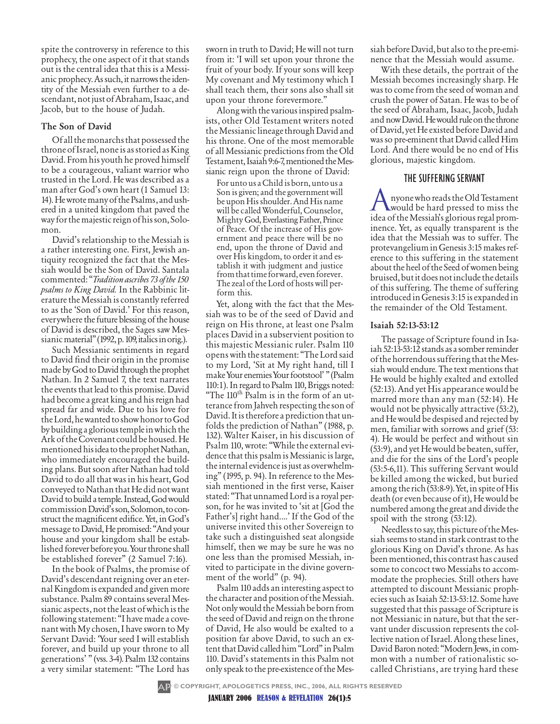spite the controversy in reference to this prophecy, the one aspect of it that stands out is the central idea that this is a Messianic prophecy. As such, it narrows the identity of the Messiah even further to a descendant, not just of Abraham, Isaac, and Jacob, but to the house of Judah.

### The Son of David

Of all the monarchs that possessed the throne of Israel, none is as storied as King David. From his youth he proved himself to be a courageous, valiant warrior who trusted in the Lord. He was described as a man after God's own heart (1 Samuel 13: 14).HewrotemanyofthePsalms,andushered in a united kingdom that paved the way for the majestic reign of his son, Solomon.

David's relationship to the Messiah is a rather interesting one. First, Jewish antiquity recognized the fact that the Messiah would be the Son of David. Santala commented:"*Tradition ascribes73 ofthe150 psalms to King David.* In the Rabbinic literature the Messiah is constantly referred to as the 'Son of David.' For this reason, everywhere the future blessing of the house of David is described, the Sages saw Messianic material" (1992, p. 109, italics in orig.).

Such Messianic sentiments in regard to David find their origin in the promise made by God to David through the prophet Nathan. In 2 Samuel 7, the text narrates the events that lead to this promise. David had become a great king and his reign had spread far and wide. Due to his love for the Lord, he wanted to show honor to God by building a glorious temple in which the Ark of the Covenant could be housed. He mentioned his idea to the prophet Nathan, who immediately encouraged the building plans. But soon after Nathan had told David to do all that was in his heart, God conveyed to Nathan that He did not want David to build a temple. Instead, God would commission David's son, Solomon, to construct the magnificent edifice. Yet, in God's message to David, He promised: "And your house and your kingdom shall be established forever before you. Your throne shall be established forever" (2 Samuel 7:16).

In the book of Psalms, the promise of David's descendant reigning over an eternal Kingdom is expanded and given more substance. Psalm 89 contains several Messianic aspects, not the least of which is the following statement: "I have made a covenant with My chosen, I have sworn to My Servant David: 'Your seed I will establish forever, and build up your throne to all generations' " (vss. 3-4). Psalm 132 contains a very similar statement: "The Lord has

sworn in truth to David; He will not turn from it: 'I will set upon your throne the fruit of your body. If your sons will keep My covenant and My testimony which I shall teach them, their sons also shall sit upon your throne forevermore."

Along with the various inspired psalmists, other Old Testament writers noted the MessianiclineagethroughDavidand his throne. One of the most memorable of all Messianic predictions from the Old Testament, Isaiah 9:6-7, mentioned the Messianic reign upon the throne of David:

For unto us a Child is born, unto us a Son is given; and the government will be upon His shoulder. And His name will be called Wonderful, Counselor, Mighty God, Everlasting Father, Prince of Peace. Of the increase of His gov- ernment and peace there will be no end, upon the throne of David and tablish it with judgment and justice from that time forward, even forever. The zeal of the Lord of hosts will per- form this.

Yet, along with the fact that the Messiah was to be of the seed of David and reign on His throne, at least one Psalm places David in a subservient position to this majestic Messianic ruler. Psalm 110 opens with the statement: "The Lord said to my Lord, 'Sit at My right hand, till I make Your enemies Your footstool' "(Psalm 110:1). In regard to Psalm 110, Briggs noted: "The 110<sup>th</sup> Psalm is in the form of an utterance from Jahveh respecting the son of David. It is therefore a prediction that unfolds the prediction of Nathan" (1988, p. 132). Walter Kaiser, in his discussion of Psalm 110, wrote: "While the external evidence that this psalm is Messianic is large, the internal evidence is just as overwhelming" (1995, p. 94). In reference to the Messiah mentioned in the first verse, Kaiser stated: "That unnamed Lord is a royal person, for he was invited to 'sit at [God the Father's] right hand....' If the God of the universe invited this other Sovereign to take such a distinguished seat alongside himself, then we may be sure he was no one less than the promised Messiah, invited to participate in the divine government of the world" (p. 94).

Psalm 110 adds an interesting aspect to the character and position of the Messiah. Not only would the Messiah be born from the seed of David and reign on the throne of David, He also would be exalted to a position far above David, to such an extent that David called him "Lord" in Psalm 110. David's statements in this Psalm not only speak to the pre-existence of the Messiah before David, but also to the pre-eminence that the Messiah would assume.

With these details, the portrait of the Messiah becomes increasingly sharp. He was to come from the seed of woman and crush the power of Satan. He was to be of the seed of Abraham, Isaac, Jacob, Judah and now David. He would rule on the throne of David, yet He existed before David and was so pre-eminent that David called Him Lord. And there would be no end of His glorious, majestic kingdom.

### THE SUFFERING SERVANT

nyone who reads the Old Testament would be hard pressed to miss the idea of the Messiah's glorious regal prominence. Yet, as equally transparent is the idea that the Messiah was to suffer. The protevangelium in Genesis 3:15 makes reference to this suffering in the statement about the heel of the Seed of women being bruised, but it does not include the details of this suffering. The theme of suffering introduced in Genesis 3:15 is expanded in the remainder of the Old Testament.

### Isaiah 52:13-53:12

The passage of Scripture found in Isaiah 52:13-53:12 stands as a somber reminder of the horrendous suffering that the Messiah would endure. The text mentions that He would be highly exalted and extolled (52:13). And yet His appearance would be marred more than any man (52:14). He would not be physically attractive (53:2), and He would be despised and rejected by men, familiar with sorrows and grief (53: 4). He would be perfect and without sin (53:9), and yet He would be beaten, suffer, and die for the sins of the Lord's people (53:5-6,11). This suffering Servant would be killed among the wicked, but buried among the rich (53:8-9). Yet, in spite of His death (or even because of it), He would be numbered among the great and divide the spoil with the strong (53:12).

Needless to say, this picture of the Messiah seems to stand in stark contrast to the glorious King on David's throne. As has been mentioned, this contrast has caused some to concoct two Messiahs to accommodate the prophecies. Still others have attempted to discount Messianic prophecies such as Isaiah 52:13-53:12. Some have suggested that this passage of Scripture is not Messianic in nature, but that the servant under discussion represents the collective nation of Israel. Along these lines, David Baron noted: "Modern Jews, in common with a number of rationalistic socalled Christians, are trying hard these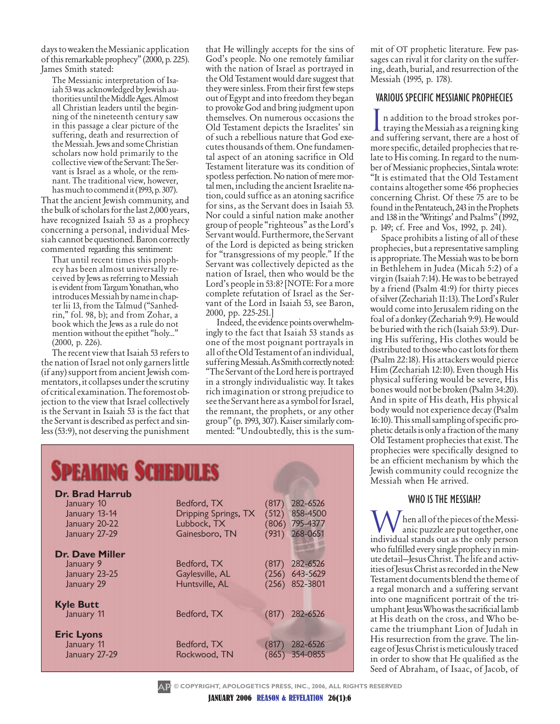daystoweakentheMessianicapplication of this remarkable prophecy" (2000, p. 225). James Smith stated:

The Messianic interpretation of Isa-<br>iah 53 was acknowledged by Jewish au-<br>thorities until the Middle Ages. Almost all Christian leaders until the begin- ning of the nineteenth century saw in this passage a clear picture of the suffering, death and resurrection of the Messiah. Jews and some Christian scholars now hold primarily to the<br>collective view of the Servant: The Servant is Israel as a whole, or the rem- nant. The traditional view, however, has much to commend it (1993, p. 307).

That the ancient Jewish community, and the bulk of scholars for the last 2,000 years, have recognized Isaiah 53 as a prophecy concerning a personal, individual Messiah cannot be questioned. Baron correctly commented regarding this sentiment:

That until recent times this proph-<br>ecy has been almost universally received by Jews as referring to Messiah is evident from Targum Yonathan, who<br>introduces Messiah by name in chapter lii 13, from the Talmud ("Sanhedrin," fol. 98, b); and from Zohar, a book which the Jews as a rule do not mention without the epithet "holy..." (2000, p. 226).

The recent view that Isaiah 53 refers to the nation of Israel not only garners little (if any) support from ancient Jewish commentators, it collapses under the scrutiny of critical examination. The foremost objection to the view that Israel collectively is the Servant in Isaiah 53 is the fact that the Servant is described as perfect and sinless (53:9), not deserving the punishment

that He willingly accepts for the sins of God's people. No one remotely familiar with the nation of Israel as portrayed in the Old Testament would dare suggest that they were sinless. From their first few steps out of Egypt and into freedom they began to provoke God and bring judgment upon themselves. On numerous occasions the Old Testament depicts the Israelites' sin of such a rebellious nature that God executes thousands of them. One fundamental aspect of an atoning sacrifice in Old Testament literature was its condition of spotless perfection. No nation of mere mortalmen, including the ancient Israelite nation, could suffice as an atoning sacrifice for sins, as the Servant does in Isaiah 53. Nor could a sinful nation make another group of people "righteous" as the Lord's Servant would. Furthermore, the Servant of the Lord is depicted as being stricken for "transgressions of my people." If the Servant was collectively depicted as the nation of Israel, then who would be the Lord's people in 53:8? [NOTE: For a more complete refutation of Israel as the Servant of the Lord in Isaiah 53, see Baron, 2000, pp. 225-251.]

Indeed, the evidence points overwhelmingly to the fact that Isaiah 53 stands as one of the most poignant portrayals in all oftheOldTestamentofanindividual, suffering Messiah. As Smith correctly noted: "The Servant of the Lord here is portrayed in a strongly individualistic way. It takes rich imagination or strong prejudice to see the Servant here as a symbol for Israel, the remnant, the prophets, or any other group" (p.1993,307).Kaisersimilarlycommented: "Undoubtedly, this is the sum-

| <b>SPEAKING SCHEDULES</b>                                                        |                                                                      |                         |                                                      |  |  |  |  |  |
|----------------------------------------------------------------------------------|----------------------------------------------------------------------|-------------------------|------------------------------------------------------|--|--|--|--|--|
| Dr. Brad Harrub<br>January 10<br>January 13-14<br>January 20-22<br>January 27-29 | Bedford, TX<br>Dripping Springs, TX<br>Lubbock, TX<br>Gainesboro, TN | (817)<br>(512)<br>(931) | 282-6526<br>858-4500<br>$(806)$ 795-4377<br>268-0651 |  |  |  |  |  |
| <b>Dr. Dave Miller</b><br>January 9<br>January 23-25<br>January 29               | Bedford, TX<br>Gaylesville, AL<br>Huntsville, AL                     | (817)<br>(256)<br>(256) | 282-6526<br>643-5629<br>852-3801                     |  |  |  |  |  |
| <b>Kyle Butt</b><br>January 11                                                   | Bedford, TX                                                          | (817)                   | 282-6526                                             |  |  |  |  |  |
| <b>Eric Lyons</b><br>January 11<br>January 27-29                                 | Bedford, TX<br>Rockwood, TN                                          | (817)<br>(865)          | 282-6526<br>354-0855                                 |  |  |  |  |  |

mit of OT prophetic literature. Few passages can rival it for clarity on the suffering, death, burial, and resurrection of the Messiah (1995, p. 178).

### VARIOUS SPECIFIC MESSIANIC PROPHECIES

In addition to the broad strokes por-<br>
traying the Messiah as a reigning king and suffering servant, there are a host of more specific, detailed prophecies that relate to His coming. In regard to the number of Messianic prophecies, Sintala wrote: "It is estimated that the Old Testament contains altogether some 456 prophecies concerning Christ. Of these 75 are to be found in the Pentateuch, 243 in the Prophets and 138 in the 'Writings' and Psalms" (1992, p. 149; cf. Free and Vos, 1992, p. 241).

Space prohibits a listing of all of these prophecies, but a representative sampling is appropriate. The Messiah was to be born in Bethlehem in Judea (Micah 5:2) of a virgin (Isaiah 7:14). He was to be betrayed by a friend (Psalm 41:9) for thirty pieces of silver (Zechariah 11:13). The Lord's Ruler would come into Jerusalem riding on the foal of a donkey (Zechariah 9:9). He would be buried with the rich (Isaiah 53:9). During His suffering, His clothes would be distributed to those who cast lots for them (Psalm 22:18). His attackers would pierce Him (Zechariah 12:10). Even though His physical suffering would be severe, His bones would not be broken (Psalm 34:20). And in spite of His death, His physical body would not experience decay (Psalm 16:10). This small sampling of specific prophetic details is only a fraction of the many Old Testament prophecies that exist. The prophecies were specifically designed to be an efficient mechanism by which the Jewish community could recognize the Messiah when He arrived.

### WHO IS THE MESSIAH?

 $\int$  hen all of the pieces of the Messianic puzzle are put together, one individual stands out as the only person who fulfilled every single prophecy in minutedetail—JesusChrist.Thelifeandactivities of Jesus Christ as recorded in the New Testament documents blend the theme of a regal monarch and a suffering servant into one magnificent portrait of the triumphant Jesus Who was the sacrificial lamb at His death on the cross, and Who became the triumphant Lion of Judah in His resurrection from the grave. The lineageofJesusChristismeticulouslytraced in order to show that He qualified as the Seed of Abraham, of Isaac, of Jacob, of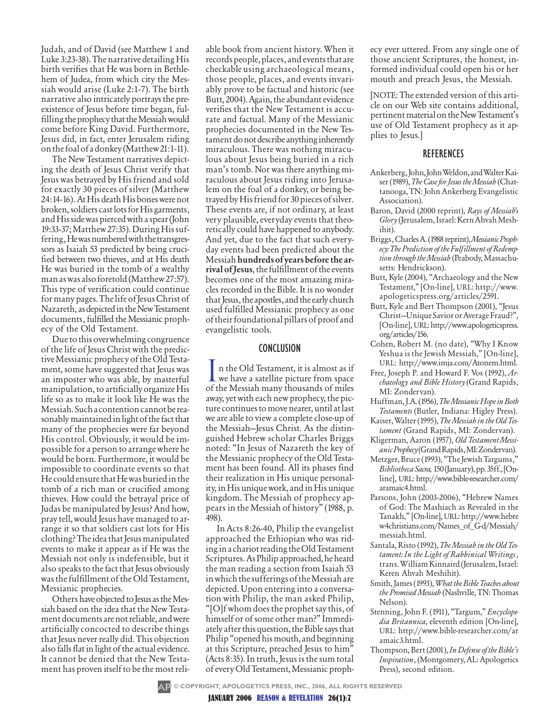Judah, and of David (see Matthew 1 and Luke 3:23-38). The narrative detailing His birth verifies that He was born in Bethlehem of Judea, from which city the Messiah would arise (Luke 2:1-7). The birth narrative also intricately portrays the preexistence of Jesus before time began, fulfilling the prophecy that the Messiah would come before King David. Furthermore, Jesus did, in fact, enter Jerusalem riding onthefoalofadonkey(Matthew21:1-11).

The New Testament narratives depicting the death of Jesus Christ verify that Jesus was betrayed by His friend and sold for exactly 30 pieces of silver (Matthew 24:14-16). At His death His bones were not broken, soldiers cast lots for His garments, and His side was pierced with a spear (John 19:33-37;Matthew27:35).DuringHissuffering, He was numbered with the transgressors as Isaiah 53 predicted by being crucified between two thieves, and at His death He was buried in the tomb of a wealthy manaswasalsoforetold(Matthew27:57). This type of verification could continue formanypages.ThelifeofJesusChristof Nazareth, as depicted in the New Testament documents, fulfilled the Messianic prophecy of the Old Testament.

Due to this overwhelming congruence of the life of Jesus Christ with the predictive Messianic prophecy of the Old Testament, some have suggested that Jesus was an imposter who was able, by masterful manipulation, to artificially organize His life so as to make it look like He was the Messiah. Suchacontentioncannotbereasonably maintained in light of the fact that many of the prophecies were far beyond His control. Obviously, it would be impossible for a person to arrange where he would be born. Furthermore, it would be impossible to coordinate events so that He could ensure that He was buried in the tomb of a rich man or crucified among thieves. How could the betrayal price of Judas be manipulated by Jesus? And how, pray tell, would Jesus have managed to arrange it so that soldiers cast lots for His clothing? The idea that Jesus manipulated events to make it appear as if He was the Messiah not only is indefensible, but it also speaks to the fact that Jesus obviously was the fulfillment of the Old Testament, Messianic prophecies.

Others have objected to Jesus as the Messiah based on the idea that the New Testament documents are not reliable, and were artificially concocted to describe things that Jesus never really did. This objection also falls flat in light of the actual evidence. It cannot be denied that the New Testament has proven itself to be the most reliable book from ancient history. When it records people, places, and events that are checkable using archaeological means, those people, places, and events invariably prove to be factual and historic (see Butt, 2004). Again, the abundant evidence verifies that the New Testament is accurate and factual. Many of the Messianic prophecies documented in the New Testament do not describe anything inherently miraculous. There was nothing miraculous about Jesus being buried in a rich man's tomb. Nor was there anything miraculous about Jesus riding into Jerusalem on the foal of a donkey, or being betrayed by His friend for 30 pieces of silver. These events are, if not ordinary, at least very plausible, everyday events that theoretically could have happened to anybody. And yet, due to the fact that such everyday events had been predicted about the Messiah hundreds of years before the arrival of Jesus, the fulfillment of the events becomes one of the most amazing miracles recorded in the Bible. It is no wonder that Jesus, the apostles, and the early church used fulfilled Messianic prophecy as one of their foundational pillars of proof and evangelistic tools.

### **CONCLUSION**

In the Old Testament, it is almost as if<br>we have a satellite picture from space of the Messiah many thousands of miles away, yet with each new prophecy, the picture continues to move nearer, until at last we are able to view a complete close-up of the Messiah—Jesus Christ. As the distinguished Hebrew scholar Charles Briggs noted: "In Jesus of Nazareth the key of the Messianic prophecy of the Old Testament has been found. All its phases find their realization in His unique personality, in His unique work, and in His unique kingdom. The Messiah of prophecy appears in the Messiah of history" (1988, p. 498).

In Acts 8:26-40, Philip the evangelist approached the Ethiopian who was riding in a chariot reading the Old Testament Scriptures. As Philip approached, he heard the man reading a section from Isaiah 53 in which the sufferings of the Messiah are depicted. Upon entering into a conversation with Philip, the man asked Philip, "[O]f whom does the prophet say this, of himself or of some other man?" Immediately after this question, the Bible says that Philip "opened his mouth, and beginning at this Scripture, preached Jesus to him" (Acts 8:35). In truth, Jesus is the sum total of every Old Testament, Messianic prophecy ever uttered. From any single one of those ancient Scriptures, the honest, informed individual could open his or her mouth and preach Jesus, the Messiah.

[NOTE: The extended version of this article on our Web site contains additional, pertinent material on the New Testament's use of Old Testament prophecy as it applies to Jesus.]

### REFERENCES

- Ankerberg, John, John Weldon, and Walter Kaiser(1989), *The Case for Jesus the Messiah* (Chattanooga, TN: John Ankerberg Evangelistic Association).
- Baron, David (2000 reprint), *Rays of Messiah's* Glory (Jerusalem, Israel: Kern Ahvah Meshihit).
- Briggs,CharlesA.(1988reprint),*Messianic Prophecy:The Prediction of the Fulfillment of Redemption through the Messiah* (Peabody, Massachusetts: Hendrickson).
- Butt, Kyle (2004), "Archaeology and the New Testament," [On-line], URL: http://www. apologeticspress.org/articles/2591.
- Butt, Kyle and Bert Thompson (2001), "Jesus Christ-Unique Savior or Average Fraud?", [On-line], URL:http://www.apologeticspress. org/articles/156.
- Cohen, Robert M. (no date), "Why I Know Yeshua is the Jewish Messiah," [On-line], URL: http://www.imja.com/Atonem.html.
- Free, Joseph P. and Howard F. Vos (1992), *Archaeology and Bible History*(Grand Rapids, MI: Zondervan).
- Huffman,J.A.(1956),*TheMessianicHopein Both Testaments* (Butler, Indiana: Higley Press).
- Kaiser, Walter (1995), *The Messiah in the Old Testament* (Grand Rapids, MI: Zondervan).
- Kligerman, Aaron (1957), *Old TestamentMessianic Prophecy*(GrandRapids,MI:Zondervan).
- Metzger, Bruce (1993), "The Jewish Targums," *Bibliotheca Sacra,* 150(January),pp.35ff.,[Online], URL: http://www.bible-researcher.com/ aramaic4.html.
- Parsons, John (2003-2006), "Hebrew Names of God: The Mashiach as Revealed in the Tanakh," [On-line], URL: http://www.hebre w4christians.com/Names\_of\_G-d/Messiah/ messiah.html.
- Santala, Risto (1992), *The Messiah in the Old Testament: In the Light of Rabbinical Writings*, trans.WilliamKinnaird(Jerusalem,Israel: Keren Ahvah Meshihit).
- Smith, James(1993),*Whatthe Bible Teaches about the Promised Messiah* (Nashville, TN: Thomas Nelson).
- Stenning, John F. (1911), "Targum," *Encyclopedia Britannica*, eleventh edition [On-line], URL: http://www.bible-researcher.com/ar amaic3.html.
- Thompson, Bert (2001),*In Defense of the Bible's Inspiration*, (Montgomery, AL: Apologetics Press), second edition.